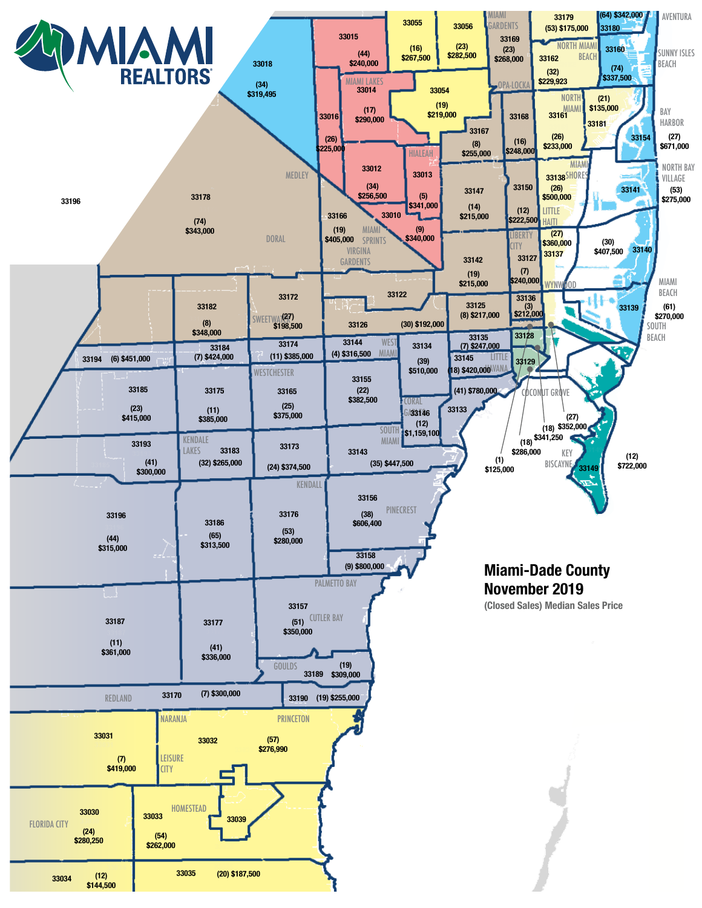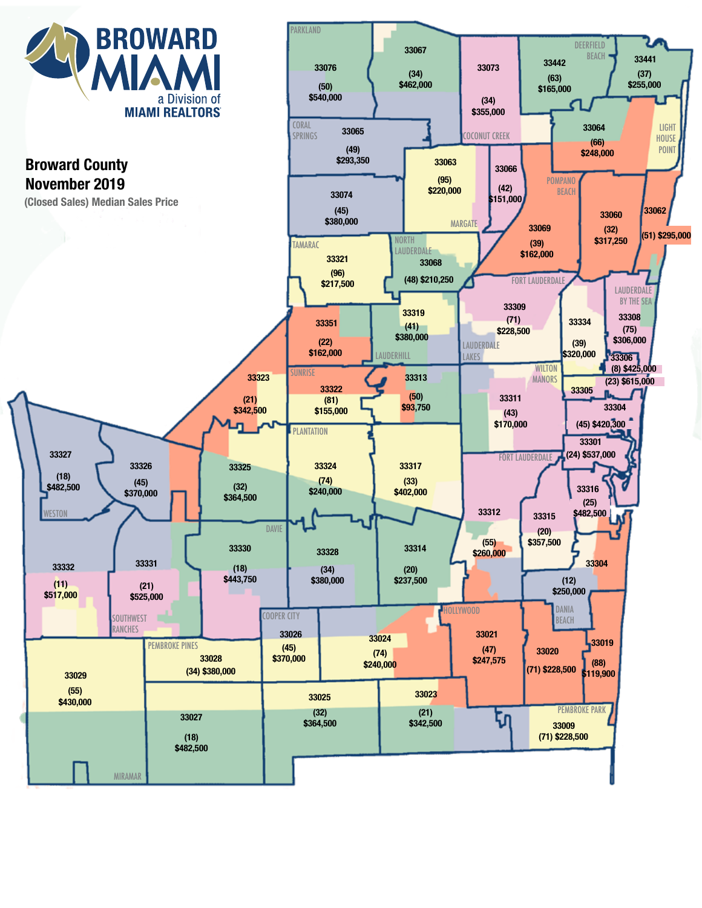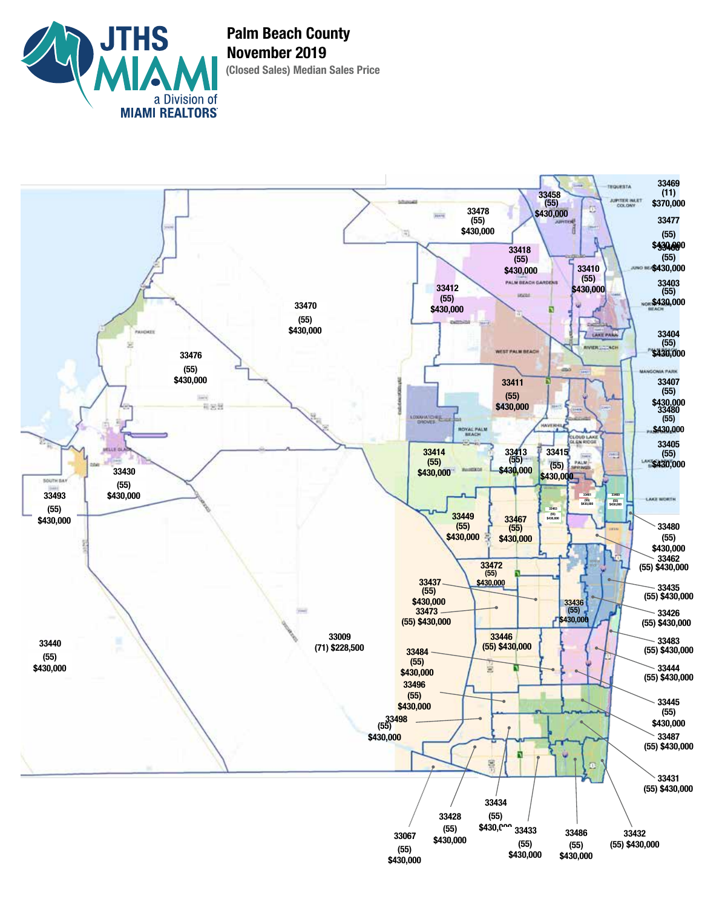

**(Closed Sales) Median Sales Price Palm Beach County November 2019**